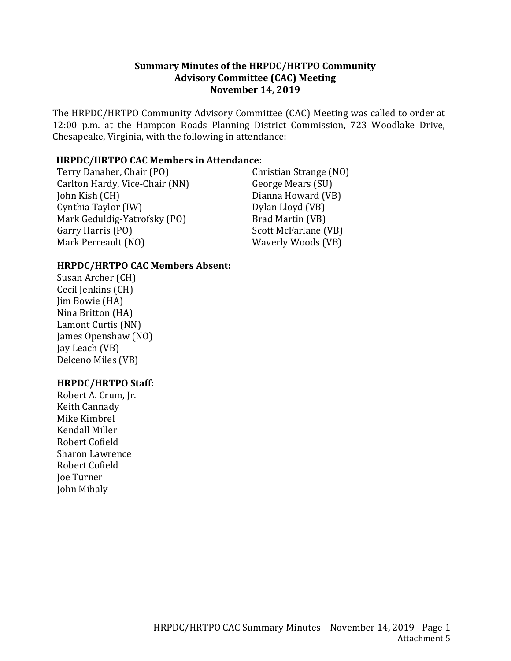## **Summary Minutes of the HRPDC/HRTPO Community Advisory Committee (CAC) Meeting November 14, 2019**

The HRPDC/HRTPO Community Advisory Committee (CAC) Meeting was called to order at 12:00 p.m. at the Hampton Roads Planning District Commission, 723 Woodlake Drive, Chesapeake, Virginia, with the following in attendance:

#### **HRPDC/HRTPO CAC Members in Attendance:**

Terry Danaher, Chair (PO) Carlton Hardy, Vice-Chair (NN) John Kish (CH) Cynthia Taylor (IW) Mark Geduldig-Yatrofsky (PO) Garry Harris (PO) Mark Perreault (NO)

Christian Strange (NO) George Mears (SU) Dianna Howard (VB) Dylan Lloyd (VB) Brad Martin (VB) Scott McFarlane (VB) Waverly Woods (VB)

## **HRPDC/HRTPO CAC Members Absent:**

Susan Archer (CH) Cecil Jenkins (CH) Jim Bowie (HA) Nina Britton (HA) Lamont Curtis (NN) James Openshaw (NO) Jay Leach (VB) Delceno Miles (VB)

## **HRPDC/HRTPO Staff:**

Robert A. Crum, Jr. Keith Cannady Mike Kimbrel Kendall Miller Robert Cofield Sharon Lawrence Robert Cofield Joe Turner John Mihaly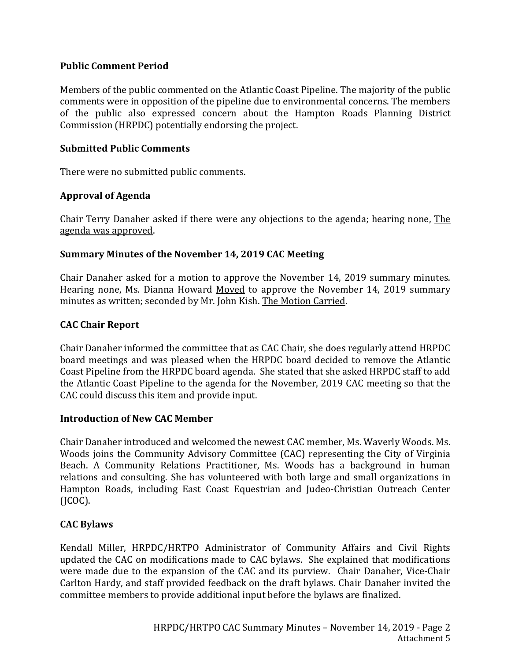## **Public Comment Period**

Members of the public commented on the Atlantic Coast Pipeline. The majority of the public comments were in opposition of the pipeline due to environmental concerns. The members of the public also expressed concern about the Hampton Roads Planning District Commission (HRPDC) potentially endorsing the project.

## **Submitted Public Comments**

There were no submitted public comments.

# **Approval of Agenda**

Chair Terry Danaher asked if there were any objections to the agenda; hearing none, The agenda was approved.

# **Summary Minutes of the November 14, 2019 CAC Meeting**

Chair Danaher asked for a motion to approve the November 14, 2019 summary minutes. Hearing none, Ms. Dianna Howard Moved to approve the November 14, 2019 summary minutes as written; seconded by Mr. John Kish. The Motion Carried.

# **CAC Chair Report**

Chair Danaher informed the committee that as CAC Chair, she does regularly attend HRPDC board meetings and was pleased when the HRPDC board decided to remove the Atlantic Coast Pipeline from the HRPDC board agenda. She stated that she asked HRPDC staff to add the Atlantic Coast Pipeline to the agenda for the November, 2019 CAC meeting so that the CAC could discuss this item and provide input.

## **Introduction of New CAC Member**

Chair Danaher introduced and welcomed the newest CAC member, Ms. Waverly Woods. Ms. Woods joins the Community Advisory Committee (CAC) representing the City of Virginia Beach. A Community Relations Practitioner, Ms. Woods has a background in human relations and consulting. She has volunteered with both large and small organizations in Hampton Roads, including East Coast Equestrian and Judeo-Christian Outreach Center (JCOC).

# **CAC Bylaws**

Kendall Miller, HRPDC/HRTPO Administrator of Community Affairs and Civil Rights updated the CAC on modifications made to CAC bylaws. She explained that modifications were made due to the expansion of the CAC and its purview. Chair Danaher, Vice-Chair Carlton Hardy, and staff provided feedback on the draft bylaws. Chair Danaher invited the committee members to provide additional input before the bylaws are finalized.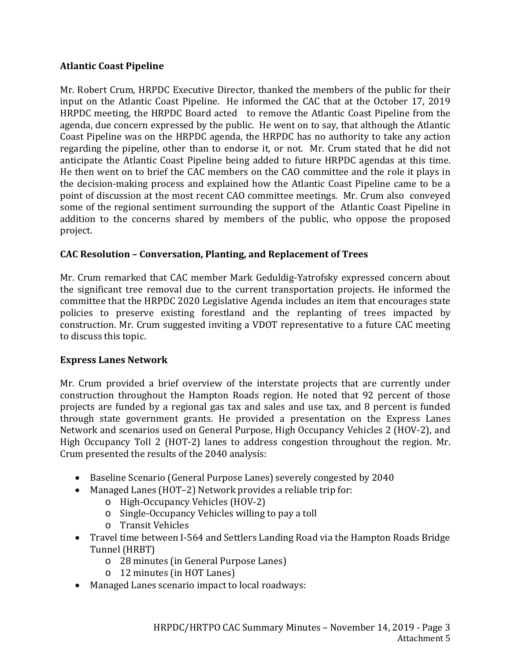# **Atlantic Coast Pipeline**

Mr. Robert Crum, HRPDC Executive Director, thanked the members of the public for their input on the Atlantic Coast Pipeline. He informed the CAC that at the October 17, 2019 HRPDC meeting, the HRPDC Board acted to remove the Atlantic Coast Pipeline from the agenda, due concern expressed by the public. He went on to say, that although the Atlantic Coast Pipeline was on the HRPDC agenda, the HRPDC has no authority to take any action regarding the pipeline, other than to endorse it, or not. Mr. Crum stated that he did not anticipate the Atlantic Coast Pipeline being added to future HRPDC agendas at this time. He then went on to brief the CAC members on the CAO committee and the role it plays in the decision-making process and explained how the Atlantic Coast Pipeline came to be a point of discussion at the most recent CAO committee meetings. Mr. Crum also conveyed some of the regional sentiment surrounding the support of the Atlantic Coast Pipeline in addition to the concerns shared by members of the public, who oppose the proposed project.

# **CAC Resolution – Conversation, Planting, and Replacement of Trees**

Mr. Crum remarked that CAC member Mark Geduldig-Yatrofsky expressed concern about the significant tree removal due to the current transportation projects. He informed the committee that the HRPDC 2020 Legislative Agenda includes an item that encourages state policies to preserve existing forestland and the replanting of trees impacted by construction. Mr. Crum suggested inviting a VDOT representative to a future CAC meeting to discuss this topic.

## **Express Lanes Network**

Mr. Crum provided a brief overview of the interstate projects that are currently under construction throughout the Hampton Roads region. He noted that 92 percent of those projects are funded by a regional gas tax and sales and use tax, and 8 percent is funded through state government grants. He provided a presentation on the Express Lanes Network and scenarios used on General Purpose, High Occupancy Vehicles 2 (HOV-2), and High Occupancy Toll 2 (HOT-2) lanes to address congestion throughout the region. Mr. Crum presented the results of the 2040 analysis:

- Baseline Scenario (General Purpose Lanes) severely congested by 2040
- Managed Lanes (HOT–2) Network provides a reliable trip for:
	- o High-Occupancy Vehicles (HOV-2)
	- o Single-Occupancy Vehicles willing to pay a toll
	- o Transit Vehicles
- Travel time between I-564 and Settlers Landing Road via the Hampton Roads Bridge Tunnel (HRBT)
	- o 28 minutes (in General Purpose Lanes)
	- o 12 minutes (in HOT Lanes)
- Managed Lanes scenario impact to local roadways: